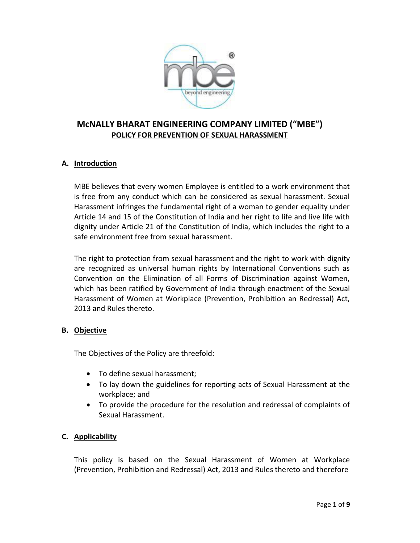

### **A. Introduction**

MBE believes that every women Employee is entitled to a work environment that is free from any conduct which can be considered as sexual harassment. Sexual Harassment infringes the fundamental right of a woman to gender equality under Article 14 and 15 of the Constitution of India and her right to life and live life with dignity under Article 21 of the Constitution of India, which includes the right to a safe environment free from sexual harassment.

The right to protection from sexual harassment and the right to work with dignity are recognized as universal human rights by International Conventions such as Convention on the Elimination of all Forms of Discrimination against Women, which has been ratified by Government of India through enactment of the Sexual Harassment of Women at Workplace (Prevention, Prohibition an Redressal) Act, 2013 and Rules thereto.

### **B. Objective**

The Objectives of the Policy are threefold:

- To define sexual harassment;
- To lay down the guidelines for reporting acts of Sexual Harassment at the workplace; and
- To provide the procedure for the resolution and redressal of complaints of Sexual Harassment.

### **C. Applicability**

This policy is based on the Sexual Harassment of Women at Workplace (Prevention, Prohibition and Redressal) Act, 2013 and Rules thereto and therefore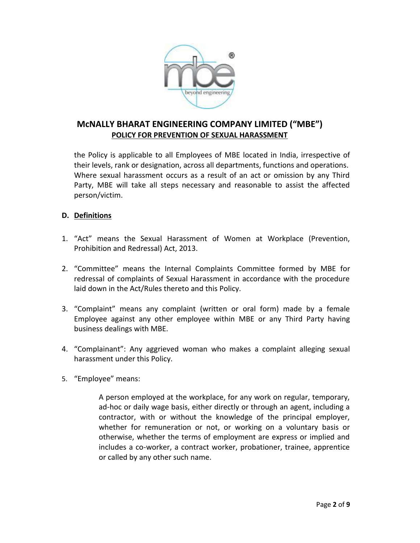

the Policy is applicable to all Employees of MBE located in India, irrespective of their levels, rank or designation, across all departments, functions and operations. Where sexual harassment occurs as a result of an act or omission by any Third Party, MBE will take all steps necessary and reasonable to assist the affected person/victim.

### **D. Definitions**

- 1. "Act" means the Sexual Harassment of Women at Workplace (Prevention, Prohibition and Redressal) Act, 2013.
- 2. "Committee" means the Internal Complaints Committee formed by MBE for redressal of complaints of Sexual Harassment in accordance with the procedure laid down in the Act/Rules thereto and this Policy.
- 3. "Complaint" means any complaint (written or oral form) made by a female Employee against any other employee within MBE or any Third Party having business dealings with MBE.
- 4. "Complainant": Any aggrieved woman who makes a complaint alleging sexual harassment under this Policy.
- 5. "Employee" means:

A person employed at the workplace, for any work on regular, temporary, ad-hoc or daily wage basis, either directly or through an agent, including a contractor, with or without the knowledge of the principal employer, whether for remuneration or not, or working on a voluntary basis or otherwise, whether the terms of employment are express or implied and includes a co-worker, a contract worker, probationer, trainee, apprentice or called by any other such name.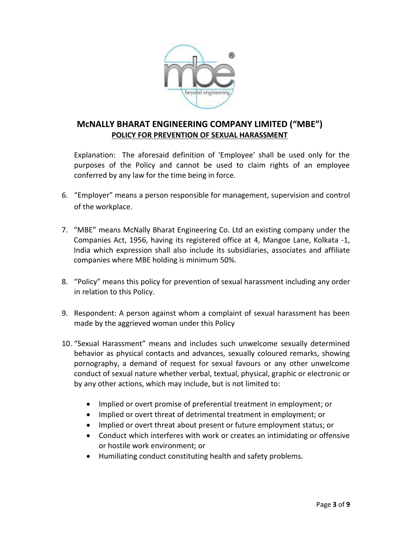

Explanation: The aforesaid definition of 'Employee' shall be used only for the purposes of the Policy and cannot be used to claim rights of an employee conferred by any law for the time being in force.

- 6. "Employer" means a person responsible for management, supervision and control of the workplace.
- 7. "MBE" means McNally Bharat Engineering Co. Ltd an existing company under the Companies Act, 1956, having its registered office at 4, Mangoe Lane, Kolkata -1, India which expression shall also include its subsidiaries, associates and affiliate companies where MBE holding is minimum 50%.
- 8. "Policy" means this policy for prevention of sexual harassment including any order in relation to this Policy.
- 9. Respondent: A person against whom a complaint of sexual harassment has been made by the aggrieved woman under this Policy
- 10. "Sexual Harassment" means and includes such unwelcome sexually determined behavior as physical contacts and advances, sexually coloured remarks, showing pornography, a demand of request for sexual favours or any other unwelcome conduct of sexual nature whether verbal, textual, physical, graphic or electronic or by any other actions, which may include, but is not limited to:
	- Implied or overt promise of preferential treatment in employment; or
	- Implied or overt threat of detrimental treatment in employment; or
	- Implied or overt threat about present or future employment status; or
	- Conduct which interferes with work or creates an intimidating or offensive or hostile work environment; or
	- Humiliating conduct constituting health and safety problems.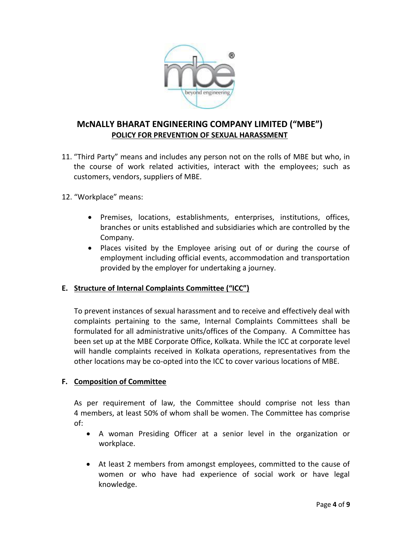

- 11. "Third Party" means and includes any person not on the rolls of MBE but who, in the course of work related activities, interact with the employees; such as customers, vendors, suppliers of MBE.
- 12. "Workplace" means:
	- Premises, locations, establishments, enterprises, institutions, offices, branches or units established and subsidiaries which are controlled by the Company.
	- Places visited by the Employee arising out of or during the course of employment including official events, accommodation and transportation provided by the employer for undertaking a journey.

### **E. Structure of Internal Complaints Committee ("ICC")**

To prevent instances of sexual harassment and to receive and effectively deal with complaints pertaining to the same, Internal Complaints Committees shall be formulated for all administrative units/offices of the Company. A Committee has been set up at the MBE Corporate Office, Kolkata. While the ICC at corporate level will handle complaints received in Kolkata operations, representatives from the other locations may be co-opted into the ICC to cover various locations of MBE.

### **F. Composition of Committee**

As per requirement of law, the Committee should comprise not less than 4 members, at least 50% of whom shall be women. The Committee has comprise of:

- A woman Presiding Officer at a senior level in the organization or workplace.
- At least 2 members from amongst employees, committed to the cause of women or who have had experience of social work or have legal knowledge.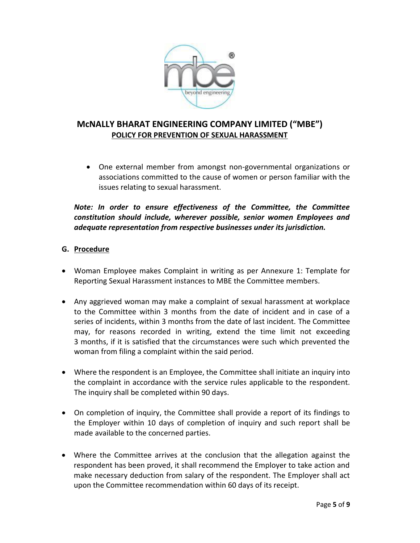

 One external member from amongst non-governmental organizations or associations committed to the cause of women or person familiar with the issues relating to sexual harassment.

#### *Note: In order to ensure effectiveness of the Committee, the Committee constitution should include, wherever possible, senior women Employees and adequate representation from respective businesses under its jurisdiction.*

### **G. Procedure**

- Woman Employee makes Complaint in writing as per Annexure 1: Template for Reporting Sexual Harassment instances to MBE the Committee members.
- Any aggrieved woman may make a complaint of sexual harassment at workplace to the Committee within 3 months from the date of incident and in case of a series of incidents, within 3 months from the date of last incident. The Committee may, for reasons recorded in writing, extend the time limit not exceeding 3 months, if it is satisfied that the circumstances were such which prevented the woman from filing a complaint within the said period.
- Where the respondent is an Employee, the Committee shall initiate an inquiry into the complaint in accordance with the service rules applicable to the respondent. The inquiry shall be completed within 90 days.
- On completion of inquiry, the Committee shall provide a report of its findings to the Employer within 10 days of completion of inquiry and such report shall be made available to the concerned parties.
- Where the Committee arrives at the conclusion that the allegation against the respondent has been proved, it shall recommend the Employer to take action and make necessary deduction from salary of the respondent. The Employer shall act upon the Committee recommendation within 60 days of its receipt.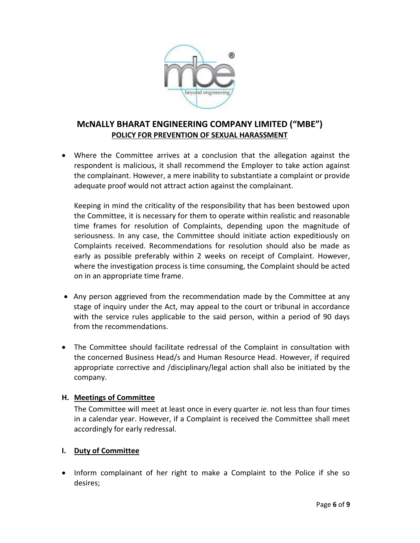

 Where the Committee arrives at a conclusion that the allegation against the respondent is malicious, it shall recommend the Employer to take action against the complainant. However, a mere inability to substantiate a complaint or provide adequate proof would not attract action against the complainant.

Keeping in mind the criticality of the responsibility that has been bestowed upon the Committee, it is necessary for them to operate within realistic and reasonable time frames for resolution of Complaints, depending upon the magnitude of seriousness. In any case, the Committee should initiate action expeditiously on Complaints received. Recommendations for resolution should also be made as early as possible preferably within 2 weeks on receipt of Complaint. However, where the investigation process is time consuming, the Complaint should be acted on in an appropriate time frame.

- Any person aggrieved from the recommendation made by the Committee at any stage of inquiry under the Act, may appeal to the court or tribunal in accordance with the service rules applicable to the said person, within a period of 90 days from the recommendations.
- The Committee should facilitate redressal of the Complaint in consultation with the concerned Business Head/s and Human Resource Head. However, if required appropriate corrective and /disciplinary/legal action shall also be initiated by the company.

### **H. Meetings of Committee**

The Committee will meet at least once in every quarter *ie*. not less than four times in a calendar year. However, if a Complaint is received the Committee shall meet accordingly for early redressal.

### **I. Duty of Committee**

• Inform complainant of her right to make a Complaint to the Police if she so desires;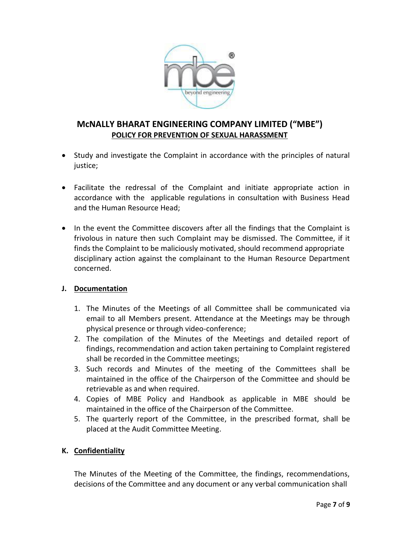

- Study and investigate the Complaint in accordance with the principles of natural justice;
- Facilitate the redressal of the Complaint and initiate appropriate action in accordance with the applicable regulations in consultation with Business Head and the Human Resource Head;
- In the event the Committee discovers after all the findings that the Complaint is frivolous in nature then such Complaint may be dismissed. The Committee, if it finds the Complaint to be maliciously motivated, should recommend appropriate disciplinary action against the complainant to the Human Resource Department concerned.

### **J. Documentation**

- 1. The Minutes of the Meetings of all Committee shall be communicated via email to all Members present. Attendance at the Meetings may be through physical presence or through video-conference;
- 2. The compilation of the Minutes of the Meetings and detailed report of findings, recommendation and action taken pertaining to Complaint registered shall be recorded in the Committee meetings;
- 3. Such records and Minutes of the meeting of the Committees shall be maintained in the office of the Chairperson of the Committee and should be retrievable as and when required.
- 4. Copies of MBE Policy and Handbook as applicable in MBE should be maintained in the office of the Chairperson of the Committee.
- 5. The quarterly report of the Committee, in the prescribed format, shall be placed at the Audit Committee Meeting.

### **K. Confidentiality**

The Minutes of the Meeting of the Committee, the findings, recommendations, decisions of the Committee and any document or any verbal communication shall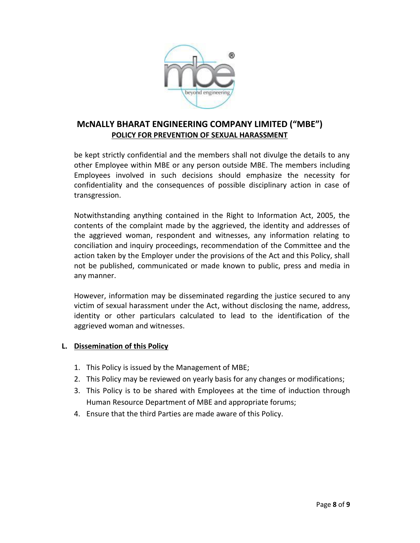

be kept strictly confidential and the members shall not divulge the details to any other Employee within MBE or any person outside MBE. The members including Employees involved in such decisions should emphasize the necessity for confidentiality and the consequences of possible disciplinary action in case of transgression.

Notwithstanding anything contained in the Right to Information Act, 2005, the contents of the complaint made by the aggrieved, the identity and addresses of the aggrieved woman, respondent and witnesses, any information relating to conciliation and inquiry proceedings, recommendation of the Committee and the action taken by the Employer under the provisions of the Act and this Policy, shall not be published, communicated or made known to public, press and media in any manner.

However, information may be disseminated regarding the justice secured to any victim of sexual harassment under the Act, without disclosing the name, address, identity or other particulars calculated to lead to the identification of the aggrieved woman and witnesses.

### **L. Dissemination of this Policy**

- 1. This Policy is issued by the Management of MBE;
- 2. This Policy may be reviewed on yearly basis for any changes or modifications;
- 3. This Policy is to be shared with Employees at the time of induction through Human Resource Department of MBE and appropriate forums;
- 4. Ensure that the third Parties are made aware of this Policy.